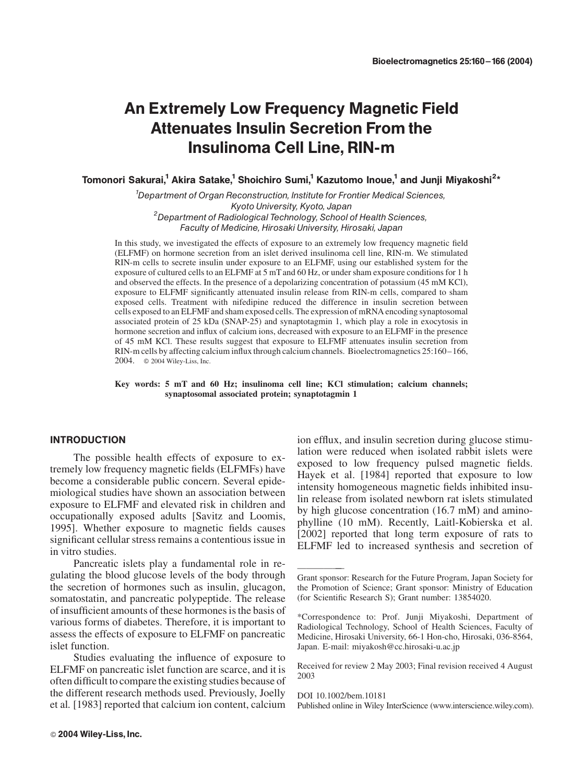# An Extremely Low Frequency Magnetic Field Attenuates Insulin Secretion From the Insulinoma Cell Line, RIN-m

Tomonori Sakurai, $^1$  Akira Satake, $^1$  Shoichiro Sumi, $^1$  Kazutomo Inoue, $^1$  and Junji Miyakoshi $^{2\star}$ 

<sup>1</sup>Department of Organ Reconstruction, Institute for Frontier Medical Sciences, Kyoto University, Kyoto, Japan<br><sup>2</sup>Department of Radiological Technology, School of Health Sciences, Faculty of Medicine, Hirosaki University, Hirosaki, Japan

In this study, we investigated the effects of exposure to an extremely low frequency magnetic field (ELFMF) on hormone secretion from an islet derived insulinoma cell line, RIN-m. We stimulated RIN-m cells to secrete insulin under exposure to an ELFMF, using our established system for the exposure of cultured cells to an ELFMF at 5 mT and 60 Hz, or under sham exposure conditions for 1 h and observed the effects. In the presence of a depolarizing concentration of potassium (45 mM KCl), exposure to ELFMF significantly attenuated insulin release from RIN-m cells, compared to sham exposed cells. Treatment with nifedipine reduced the difference in insulin secretion between cells exposed to an ELFMF and sham exposed cells. The expression of mRNA encoding synaptosomal associated protein of 25 kDa (SNAP-25) and synaptotagmin 1, which play a role in exocytosis in hormone secretion and influx of calcium ions, decreased with exposure to an ELFMF in the presence of 45 mM KCl. These results suggest that exposure to ELFMF attenuates insulin secretion from RIN-m cells by affecting calcium influx through calcium channels. Bioelectromagnetics 25:160–166, 2004. 2004 Wiley-Liss, Inc.

Key words: 5 mT and 60 Hz; insulinoma cell line; KCl stimulation; calcium channels; synaptosomal associated protein; synaptotagmin 1

## INTRODUCTION

The possible health effects of exposure to extremely low frequency magnetic fields (ELFMFs) have become a considerable public concern. Several epidemiological studies have shown an association between exposure to ELFMF and elevated risk in children and occupationally exposed adults [Savitz and Loomis, 1995]. Whether exposure to magnetic fields causes significant cellular stress remains a contentious issue in in vitro studies.

Pancreatic islets play a fundamental role in regulating the blood glucose levels of the body through the secretion of hormones such as insulin, glucagon, somatostatin, and pancreatic polypeptide. The release of insufficient amounts of these hormones is the basis of various forms of diabetes. Therefore, it is important to assess the effects of exposure to ELFMF on pancreatic islet function.

Studies evaluating the influence of exposure to ELFMF on pancreatic islet function are scarce, and it is often difficult to compare the existing studies because of the different research methods used. Previously, Joelly et al. [1983] reported that calcium ion content, calcium

ion efflux, and insulin secretion during glucose stimulation were reduced when isolated rabbit islets were exposed to low frequency pulsed magnetic fields. Hayek et al. [1984] reported that exposure to low intensity homogeneous magnetic fields inhibited insulin release from isolated newborn rat islets stimulated by high glucose concentration (16.7 mM) and aminophylline (10 mM). Recently, Laitl-Kobierska et al. [2002] reported that long term exposure of rats to ELFMF led to increased synthesis and secretion of

Received for review 2 May 2003; Final revision received 4 August 2003

DOI 10.1002/bem.10181

Published online in Wiley InterScience (www.interscience.wiley.com).

<sup>——————</sup> Grant sponsor: Research for the Future Program, Japan Society for the Promotion of Science; Grant sponsor: Ministry of Education (for Scientific Research S); Grant number: 13854020.

<sup>\*</sup>Correspondence to: Prof. Junji Miyakoshi, Department of Radiological Technology, School of Health Sciences, Faculty of Medicine, Hirosaki University, 66-1 Hon-cho, Hirosaki, 036-8564, Japan. E-mail: miyakosh@cc.hirosaki-u.ac.jp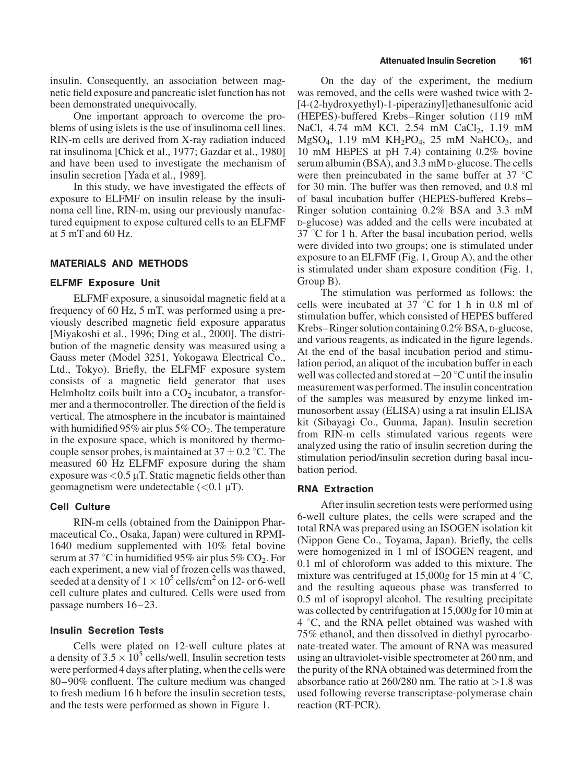insulin. Consequently, an association between magnetic field exposure and pancreatic islet function has not been demonstrated unequivocally.

One important approach to overcome the problems of using islets is the use of insulinoma cell lines. RIN-m cells are derived from X-ray radiation induced rat insulinoma [Chick et al., 1977; Gazdar et al., 1980] and have been used to investigate the mechanism of insulin secretion [Yada et al., 1989].

In this study, we have investigated the effects of exposure to ELFMF on insulin release by the insulinoma cell line, RIN-m, using our previously manufactured equipment to expose cultured cells to an ELFMF at 5 mT and 60 Hz.

### MATERIALS AND METHODS

#### ELFMF Exposure Unit

ELFMF exposure, a sinusoidal magnetic field at a frequency of 60 Hz, 5 mT, was performed using a previously described magnetic field exposure apparatus [Miyakoshi et al., 1996; Ding et al., 2000]. The distribution of the magnetic density was measured using a Gauss meter (Model 3251, Yokogawa Electrical Co., Ltd., Tokyo). Briefly, the ELFMF exposure system consists of a magnetic field generator that uses Helmholtz coils built into a  $CO<sub>2</sub>$  incubator, a transformer and a thermocontroller. The direction of the field is vertical. The atmosphere in the incubator is maintained with humidified 95% air plus  $5\%$  CO<sub>2</sub>. The temperature in the exposure space, which is monitored by thermocouple sensor probes, is maintained at  $37 \pm 0.2$  °C. The measured 60 Hz ELFMF exposure during the sham exposure was  $<$  0.5  $\mu$ T. Static magnetic fields other than geomagnetism were undetectable  $(<0.1 \mu T)$ .

#### Cell Culture

RIN-m cells (obtained from the Dainippon Pharmaceutical Co., Osaka, Japan) were cultured in RPMI-1640 medium supplemented with 10% fetal bovine serum at 37 °C in humidified 95% air plus 5%  $CO<sub>2</sub>$ . For each experiment, a new vial of frozen cells was thawed, seeded at a density of  $1 \times 10^5$  cells/cm<sup>2</sup> on 12- or 6-well cell culture plates and cultured. Cells were used from passage numbers 16–23.

### Insulin Secretion Tests

Cells were plated on 12-well culture plates at a density of  $3.5 \times 10^5$  cells/well. Insulin secretion tests were performed 4 days after plating, when the cells were 80–90% confluent. The culture medium was changed to fresh medium 16 h before the insulin secretion tests, and the tests were performed as shown in Figure 1.

On the day of the experiment, the medium was removed, and the cells were washed twice with 2- [4-(2-hydroxyethyl)-1-piperazinyl]ethanesulfonic acid (HEPES)-buffered Krebs–Ringer solution (119 mM NaCl, 4.74 mM KCl, 2.54 mM CaCl<sub>2</sub>, 1.19 mM  $MgSO<sub>4</sub>$ , 1.19 mM  $KH<sub>2</sub>PO<sub>4</sub>$ , 25 mM NaHCO<sub>3</sub>, and 10 mM HEPES at pH 7.4) containing 0.2% bovine serum albumin (BSA), and 3.3 mM D-glucose. The cells were then preincubated in the same buffer at 37  $\degree$ C for 30 min. The buffer was then removed, and 0.8 ml of basal incubation buffer (HEPES-buffered Krebs– Ringer solution containing 0.2% BSA and 3.3 mM D-glucose) was added and the cells were incubated at  $37^{\circ}$ C for 1 h. After the basal incubation period, wells were divided into two groups; one is stimulated under exposure to an ELFMF (Fig. 1, Group A), and the other is stimulated under sham exposure condition (Fig. 1, Group B).

The stimulation was performed as follows: the cells were incubated at  $37 \degree C$  for 1 h in 0.8 ml of stimulation buffer, which consisted of HEPES buffered Krebs–Ringer solution containing 0.2% BSA, D-glucose, and various reagents, as indicated in the figure legends. At the end of the basal incubation period and stimulation period, an aliquot of the incubation buffer in each well was collected and stored at  $-20$  °C until the insulin measurement was performed. The insulin concentration of the samples was measured by enzyme linked immunosorbent assay (ELISA) using a rat insulin ELISA kit (Sibayagi Co., Gunma, Japan). Insulin secretion from RIN-m cells stimulated various regents were analyzed using the ratio of insulin secretion during the stimulation period/insulin secretion during basal incubation period.

#### RNA Extraction

After insulin secretion tests were performed using 6-well culture plates, the cells were scraped and the total RNA was prepared using an ISOGEN isolation kit (Nippon Gene Co., Toyama, Japan). Briefly, the cells were homogenized in 1 ml of ISOGEN reagent, and 0.1 ml of chloroform was added to this mixture. The mixture was centrifuged at 15,000g for 15 min at 4  $\degree$ C, and the resulting aqueous phase was transferred to 0.5 ml of isopropyl alcohol. The resulting precipitate was collected by centrifugation at 15,000g for 10 min at  $4^{\circ}$ C, and the RNA pellet obtained was washed with 75% ethanol, and then dissolved in diethyl pyrocarbonate-treated water. The amount of RNA was measured using an ultraviolet-visible spectrometer at 260 nm, and the purity of the RNA obtained was determined from the absorbance ratio at  $260/280$  nm. The ratio at  $>1.8$  was used following reverse transcriptase-polymerase chain reaction (RT-PCR).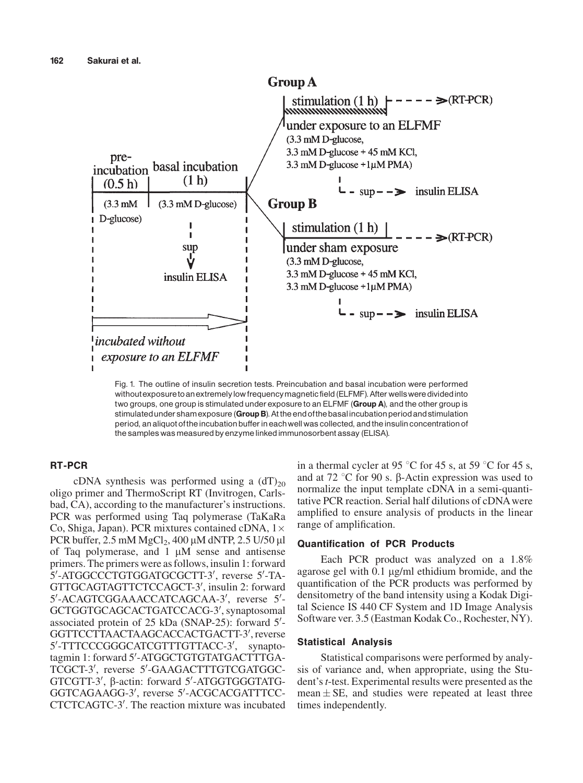

Fig. 1. The outline of insulin secretion tests. Preincubation and basal incubation were performed withoutexposure to an extremely low frequency magnetic field (ELFMF). After wells were divided into two groups, one group is stimulated under exposure to an ELFMF (Group A), and the other group is stimulated under sham exposure (Group B). At the end of the basal incubation period and stimulation period, an aliquot oftheincubation bufferin eachwellwas collected, andtheinsulin concentration of the samples was measured by enzyme linked immunosorbent assay (ELISA).

## RT-PCR

cDNA synthesis was performed using a  $(dT)_{20}$ oligo primer and ThermoScript RT (Invitrogen, Carlsbad, CA), according to the manufacturer's instructions. PCR was performed using Taq polymerase (TaKaRa Co, Shiga, Japan). PCR mixtures contained cDNA,  $1\times$ PCR buffer,  $2.5 \text{ mM } MgCl_2$ ,  $400 \mu M dNTP$ ,  $2.5 \text{ U}/50 \mu l$ of Taq polymerase, and  $1 \mu M$  sense and antisense primers. The primers were as follows, insulin 1: forward 5'-ATGGCCCTGTGGATGCGCTT-3', reverse 5'-TA-GTTGCAGTAGTTCTCCAGCT-3', insulin 2: forward 5'-ACAGTCGGAAACCATCAGCAA-3', reverse 5'-GCTGGTGCAGCACTGATCCACG-3', synaptosomal associated protein of 25 kDa (SNAP-25): forward 5'-GGTTCCTTAACTAAGCACCACTGACTT-3', reverse 5'-TTTCCCGGGCATCGTTTGTTACC-3', synaptotagmin 1: forward 5'-ATGGCTGTGTATGACTTTGA-TCGCT-3', reverse 5'-GAAGACTTTGTCGATGGC-GTCGTT-3', β-actin: forward 5'-ATGGTGGGTATG-GGTCAGAAGG-3', reverse 5'-ACGCACGATTTCC-CTCTCAGTC-3'. The reaction mixture was incubated

in a thermal cycler at 95  $\degree$ C for 45 s, at 59  $\degree$ C for 45 s, and at 72  $\degree$ C for 90 s. B-Actin expression was used to normalize the input template cDNA in a semi-quantitative PCR reaction. Serial half dilutions of cDNAwere amplified to ensure analysis of products in the linear range of amplification.

## Quantification of PCR Products

Each PCR product was analyzed on a 1.8% agarose gel with 0.1 mg/ml ethidium bromide, and the quantification of the PCR products was performed by densitometry of the band intensity using a Kodak Digital Science IS 440 CF System and 1D Image Analysis Software ver. 3.5 (Eastman Kodak Co., Rochester, NY).

## Statistical Analysis

Statistical comparisons were performed by analysis of variance and, when appropriate, using the Student's *t*-test. Experimental results were presented as the mean  $\pm$  SE, and studies were repeated at least three times independently.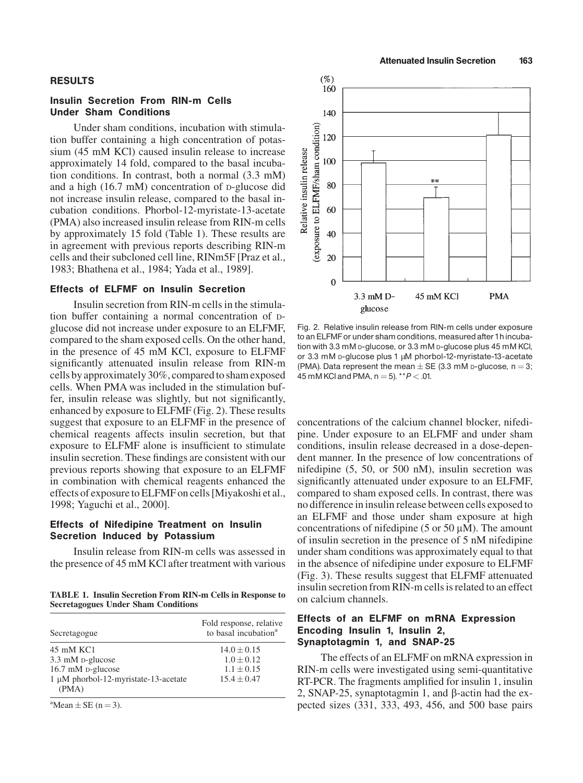#### RESULTS

## Insulin Secretion From RIN-m Cells Under Sham Conditions

Under sham conditions, incubation with stimulation buffer containing a high concentration of potassium (45 mM KCl) caused insulin release to increase approximately 14 fold, compared to the basal incubation conditions. In contrast, both a normal (3.3 mM) and a high (16.7 mM) concentration of D-glucose did not increase insulin release, compared to the basal incubation conditions. Phorbol-12-myristate-13-acetate (PMA) also increased insulin release from RIN-m cells by approximately 15 fold (Table 1). These results are in agreement with previous reports describing RIN-m cells and their subcloned cell line, RINm5F [Praz et al., 1983; Bhathena et al., 1984; Yada et al., 1989].

### Effects of ELFMF on Insulin Secretion

Insulin secretion from RIN-m cells in the stimulation buffer containing a normal concentration of Dglucose did not increase under exposure to an ELFMF, compared to the sham exposed cells. On the other hand, in the presence of 45 mM KCl, exposure to ELFMF significantly attenuated insulin release from RIN-m cells by approximately 30%, compared to sham exposed cells. When PMA was included in the stimulation buffer, insulin release was slightly, but not significantly, enhanced by exposure to ELFMF (Fig. 2). These results suggest that exposure to an ELFMF in the presence of chemical reagents affects insulin secretion, but that exposure to ELFMF alone is insufficient to stimulate insulin secretion. These findings are consistent with our previous reports showing that exposure to an ELFMF in combination with chemical reagents enhanced the effects of exposure to ELFMF on cells [Miyakoshi et al., 1998; Yaguchi et al., 2000].

## Effects of Nifedipine Treatment on Insulin Secretion Induced by Potassium

Insulin release from RIN-m cells was assessed in the presence of 45 mM KCl after treatment with various

TABLE 1. Insulin Secretion From RIN-m Cells in Response to Secretagogues Under Sham Conditions

| Secretagogue                                                       | Fold response, relative<br>to basal incubation <sup>a</sup> |
|--------------------------------------------------------------------|-------------------------------------------------------------|
| 45 mM KC1<br>3.3 mM p-glucose                                      | $14.0 \pm 0.15$<br>$1.0 + 0.12$                             |
| 16.7 mM p-glucose<br>1 μM phorbol-12-myristate-13-acetate<br>(PMA) | $1.1 \pm 0.15$<br>$15.4 + 0.47$                             |

 ${}^{\text{a}}$ Mean  $\pm$  SE (n = 3).



Fig. 2. Relative insulin release from RIN-m cells under exposure to an ELFMF or under sham conditions, measured after 1hincubation with 3.3 mM D-glucose, or 3.3 mM D-glucose plus 45 mM KCl, or 3.3 mM p-glucose plus 1 µM phorbol-12-myristate-13-acetate (PMA). Data represent the mean  $\pm$  SE (3.3 mM p-glucose, n = 3; 45 mM KCl and PMA,  $n = 5$ ). \*\* $P < .01$ .

concentrations of the calcium channel blocker, nifedipine. Under exposure to an ELFMF and under sham conditions, insulin release decreased in a dose-dependent manner. In the presence of low concentrations of nifedipine (5, 50, or 500 nM), insulin secretion was significantly attenuated under exposure to an ELFMF, compared to sham exposed cells. In contrast, there was no difference in insulin release between cells exposed to an ELFMF and those under sham exposure at high concentrations of nifedipine (5 or 50  $\mu$ M). The amount of insulin secretion in the presence of 5 nM nifedipine under sham conditions was approximately equal to that in the absence of nifedipine under exposure to ELFMF (Fig. 3). These results suggest that ELFMF attenuated insulin secretion from RIN-m cells is related to an effect on calcium channels.

## Effects of an ELFMF on mRNA Expression Encoding Insulin 1, Insulin 2, Synaptotagmin 1, and SNAP-25

The effects of an ELFMF on mRNA expression in RIN-m cells were investigated using semi-quantitative RT-PCR. The fragments amplified for insulin 1, insulin 2, SNAP-25, synaptotagmin 1, and  $\beta$ -actin had the expected sizes (331, 333, 493, 456, and 500 base pairs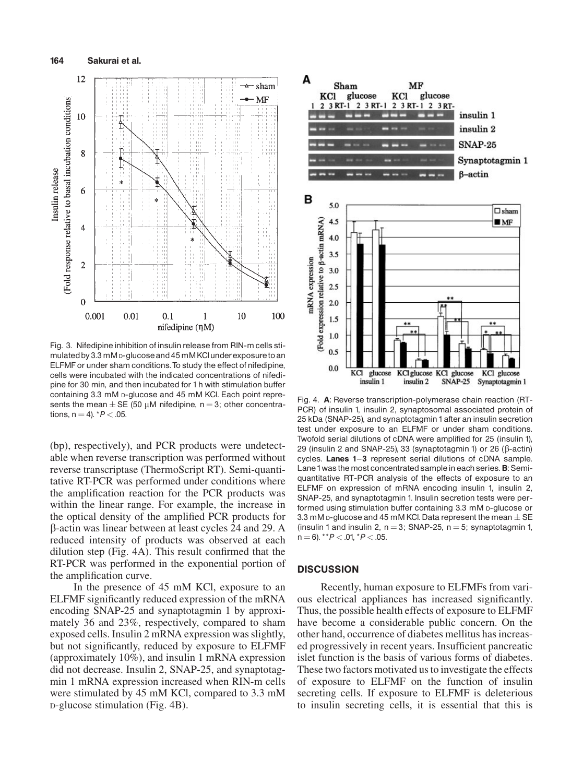

Fig. 3. Nifedipine inhibition of insulin release from RIN-m cells stimulated by 3.3 mM p-glucose and 45 mM KCl under exposure to an ELFMF or under sham conditions.To study the effect of nifedipine, cells were incubated with the indicated concentrations of nifedipine for 30 min, and then incubated for 1 h with stimulation buffer containing 3.3 mM D-glucose and 45 mM KCl. Each point represents the mean  $\pm$  SE (50 µM nifedipine, n = 3; other concentrations,  $n = 4$ ).  $*P < .05$ .

(bp), respectively), and PCR products were undetectable when reverse transcription was performed without reverse transcriptase (ThermoScript RT). Semi-quantitative RT-PCR was performed under conditions where the amplification reaction for the PCR products was within the linear range. For example, the increase in the optical density of the amplified PCR products for b-actin was linear between at least cycles 24 and 29. A reduced intensity of products was observed at each dilution step (Fig. 4A). This result confirmed that the RT-PCR was performed in the exponential portion of the amplification curve.

In the presence of 45 mM KCl, exposure to an ELFMF significantly reduced expression of the mRNA encoding SNAP-25 and synaptotagmin 1 by approximately 36 and 23%, respectively, compared to sham exposed cells. Insulin 2 mRNA expression was slightly, but not significantly, reduced by exposure to ELFMF (approximately 10%), and insulin 1 mRNA expression did not decrease. Insulin 2, SNAP-25, and synaptotagmin 1 mRNA expression increased when RIN-m cells were stimulated by 45 mM KCl, compared to 3.3 mM D-glucose stimulation (Fig. 4B).



Fig. 4. A: Reverse transcription-polymerase chain reaction (RT-PCR) of insulin 1, insulin 2, synaptosomal associated protein of 25 kDa (SNAP-25), and synaptotagmin 1 after an insulin secretion test under exposure to an ELFMF or under sham conditions. Twofold serial dilutions of cDNA were amplified for 25 (insulin 1), 29 (insulin 2 and SNAP-25), 33 (synaptotagmin 1) or 26 ( $\beta$ -actin) cycles. Lanes 1-3 represent serial dilutions of cDNA sample. Lane 1 was the most concentrated sample in each series. B: Semiquantitative RT-PCR analysis of the effects of exposure to an ELFMF on expression of mRNA encoding insulin 1, insulin 2, SNAP-25, and synaptotagmin 1. Insulin secretion tests were performed using stimulation buffer containing 3.3 mM D-glucose or 3.3 mM p-glucose and 45 mM KCl. Data represent the mean  $\pm$  SE (insulin 1 and insulin 2,  $n = 3$ ; SNAP-25,  $n = 5$ ; synaptotagmin 1,  $n = 6$ ). \*\* $P < .01$ , \* $P < .05$ .

## **DISCUSSION**

Recently, human exposure to ELFMFs from various electrical appliances has increased significantly. Thus, the possible health effects of exposure to ELFMF have become a considerable public concern. On the other hand, occurrence of diabetes mellitus has increased progressively in recent years. Insufficient pancreatic islet function is the basis of various forms of diabetes. These two factors motivated us to investigate the effects of exposure to ELFMF on the function of insulin secreting cells. If exposure to ELFMF is deleterious to insulin secreting cells, it is essential that this is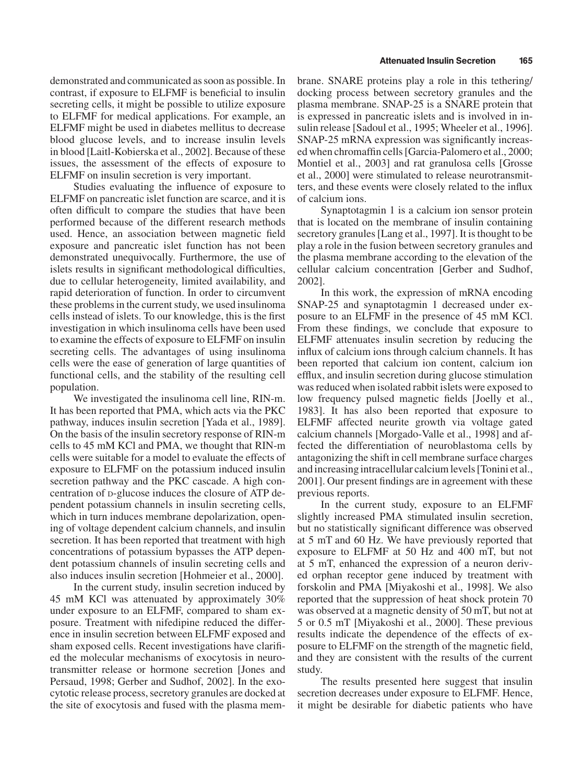demonstrated and communicated as soon as possible. In contrast, if exposure to ELFMF is beneficial to insulin secreting cells, it might be possible to utilize exposure to ELFMF for medical applications. For example, an ELFMF might be used in diabetes mellitus to decrease blood glucose levels, and to increase insulin levels in blood [Laitl-Kobierska et al., 2002]. Because of these issues, the assessment of the effects of exposure to ELFMF on insulin secretion is very important.

Studies evaluating the influence of exposure to ELFMF on pancreatic islet function are scarce, and it is often difficult to compare the studies that have been performed because of the different research methods used. Hence, an association between magnetic field exposure and pancreatic islet function has not been demonstrated unequivocally. Furthermore, the use of islets results in significant methodological difficulties, due to cellular heterogeneity, limited availability, and rapid deterioration of function. In order to circumvent these problems in the current study, we used insulinoma cells instead of islets. To our knowledge, this is the first investigation in which insulinoma cells have been used to examine the effects of exposure to ELFMF on insulin secreting cells. The advantages of using insulinoma cells were the ease of generation of large quantities of functional cells, and the stability of the resulting cell population.

We investigated the insulinoma cell line, RIN-m. It has been reported that PMA, which acts via the PKC pathway, induces insulin secretion [Yada et al., 1989]. On the basis of the insulin secretory response of RIN-m cells to 45 mM KCl and PMA, we thought that RIN-m cells were suitable for a model to evaluate the effects of exposure to ELFMF on the potassium induced insulin secretion pathway and the PKC cascade. A high concentration of D-glucose induces the closure of ATP dependent potassium channels in insulin secreting cells, which in turn induces membrane depolarization, opening of voltage dependent calcium channels, and insulin secretion. It has been reported that treatment with high concentrations of potassium bypasses the ATP dependent potassium channels of insulin secreting cells and also induces insulin secretion [Hohmeier et al., 2000].

In the current study, insulin secretion induced by 45 mM KCl was attenuated by approximately 30% under exposure to an ELFMF, compared to sham exposure. Treatment with nifedipine reduced the difference in insulin secretion between ELFMF exposed and sham exposed cells. Recent investigations have clarified the molecular mechanisms of exocytosis in neurotransmitter release or hormone secretion [Jones and Persaud, 1998; Gerber and Sudhof, 2002]. In the exocytotic release process, secretory granules are docked at the site of exocytosis and fused with the plasma membrane. SNARE proteins play a role in this tethering/ docking process between secretory granules and the plasma membrane. SNAP-25 is a SNARE protein that is expressed in pancreatic islets and is involved in insulin release [Sadoul et al., 1995; Wheeler et al., 1996]. SNAP-25 mRNA expression was significantly increased when chromaffin cells [Garcia-Palomero et al., 2000; Montiel et al., 2003] and rat granulosa cells [Grosse et al., 2000] were stimulated to release neurotransmitters, and these events were closely related to the influx of calcium ions.

Synaptotagmin 1 is a calcium ion sensor protein that is located on the membrane of insulin containing secretory granules [Lang et al., 1997]. It is thought to be play a role in the fusion between secretory granules and the plasma membrane according to the elevation of the cellular calcium concentration [Gerber and Sudhof, 2002].

In this work, the expression of mRNA encoding SNAP-25 and synaptotagmin 1 decreased under exposure to an ELFMF in the presence of 45 mM KCl. From these findings, we conclude that exposure to ELFMF attenuates insulin secretion by reducing the influx of calcium ions through calcium channels. It has been reported that calcium ion content, calcium ion efflux, and insulin secretion during glucose stimulation was reduced when isolated rabbit islets were exposed to low frequency pulsed magnetic fields [Joelly et al., 1983]. It has also been reported that exposure to ELFMF affected neurite growth via voltage gated calcium channels [Morgado-Valle et al., 1998] and affected the differentiation of neuroblastoma cells by antagonizing the shift in cell membrane surface charges and increasing intracellular calcium levels [Tonini et al., 2001]. Our present findings are in agreement with these previous reports.

In the current study, exposure to an ELFMF slightly increased PMA stimulated insulin secretion, but no statistically significant difference was observed at 5 mT and 60 Hz. We have previously reported that exposure to ELFMF at 50 Hz and 400 mT, but not at 5 mT, enhanced the expression of a neuron derived orphan receptor gene induced by treatment with forskolin and PMA [Miyakoshi et al., 1998]. We also reported that the suppression of heat shock protein 70 was observed at a magnetic density of 50 mT, but not at 5 or 0.5 mT [Miyakoshi et al., 2000]. These previous results indicate the dependence of the effects of exposure to ELFMF on the strength of the magnetic field, and they are consistent with the results of the current study.

The results presented here suggest that insulin secretion decreases under exposure to ELFMF. Hence, it might be desirable for diabetic patients who have